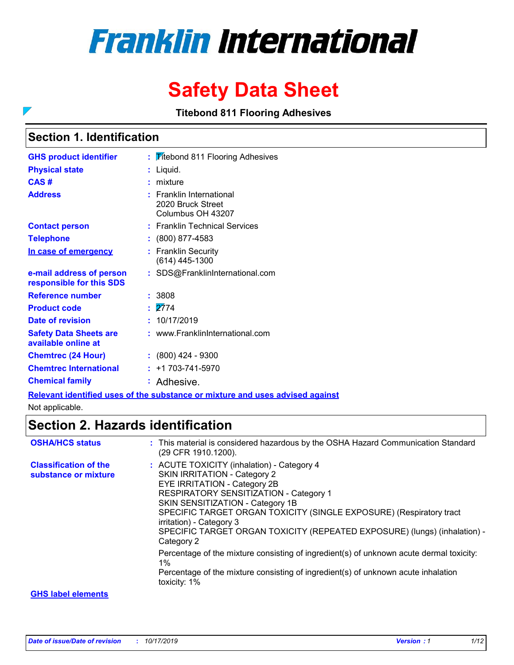# **Franklin International**

# **Safety Data Sheet**

**Titebond 811 Flooring Adhesives**

### **Section 1. Identification**

 $\overline{\phantom{0}}$ 

| <b>GHS product identifier</b>                        | : <b>Vitebond 811 Flooring Adhesives</b>                                   |
|------------------------------------------------------|----------------------------------------------------------------------------|
| <b>Physical state</b>                                | Liquid.                                                                    |
| CAS#                                                 | mixture                                                                    |
| <b>Address</b>                                       | : Franklin International<br>2020 Bruck Street<br>Columbus OH 43207         |
| <b>Contact person</b>                                | : Franklin Technical Services                                              |
| <b>Telephone</b>                                     | $: (800) 877-4583$                                                         |
| In case of emergency                                 | <b>Franklin Security</b><br>(614) 445-1300                                 |
| e-mail address of person<br>responsible for this SDS | : SDS@FranklinInternational.com                                            |
| <b>Reference number</b>                              | : 3808                                                                     |
| <b>Product code</b>                                  | $\frac{1}{2774}$                                                           |
| Date of revision                                     | : 10/17/2019                                                               |
| <b>Safety Data Sheets are</b><br>available online at | : www.FranklinInternational.com                                            |
| <b>Chemtrec (24 Hour)</b>                            | $: (800)$ 424 - 9300                                                       |
| <b>Chemtrec International</b>                        | $: +1703 - 741 - 5970$                                                     |
| <b>Chemical family</b>                               | : Adhesive.                                                                |
|                                                      | Delayaat idaatifiad waa af the ayhataana ayaalytyna aad waa adylaad aad aa |

**Relevant identified uses of the substance or mixture and uses advised against**

Not applicable.

### **Section 2. Hazards identification**

| <b>OSHA/HCS status</b>                               | : This material is considered hazardous by the OSHA Hazard Communication Standard<br>(29 CFR 1910.1200).                                                                                                                                                                                                                                                                                             |
|------------------------------------------------------|------------------------------------------------------------------------------------------------------------------------------------------------------------------------------------------------------------------------------------------------------------------------------------------------------------------------------------------------------------------------------------------------------|
| <b>Classification of the</b><br>substance or mixture | : ACUTE TOXICITY (inhalation) - Category 4<br><b>SKIN IRRITATION - Category 2</b><br><b>EYE IRRITATION - Category 2B</b><br>RESPIRATORY SENSITIZATION - Category 1<br>SKIN SENSITIZATION - Category 1B<br>SPECIFIC TARGET ORGAN TOXICITY (SINGLE EXPOSURE) (Respiratory tract<br>irritation) - Category 3<br>SPECIFIC TARGET ORGAN TOXICITY (REPEATED EXPOSURE) (lungs) (inhalation) -<br>Category 2 |
|                                                      | Percentage of the mixture consisting of ingredient(s) of unknown acute dermal toxicity:<br>$1\%$<br>Percentage of the mixture consisting of ingredient(s) of unknown acute inhalation<br>toxicity: 1%                                                                                                                                                                                                |
| <b>GHS label elements</b>                            |                                                                                                                                                                                                                                                                                                                                                                                                      |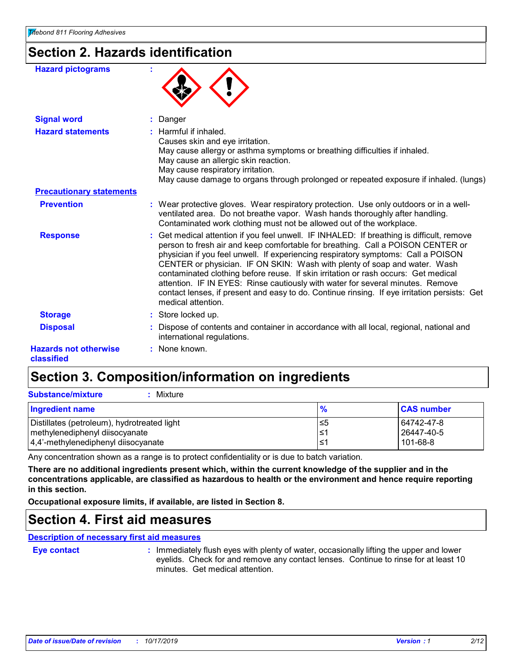### **Section 2. Hazards identification**

| <b>Hazard pictograms</b>                   |                                                                                                                                                                                                                                                                                                                                                                                                                                                                                                                                                                                                                                              |
|--------------------------------------------|----------------------------------------------------------------------------------------------------------------------------------------------------------------------------------------------------------------------------------------------------------------------------------------------------------------------------------------------------------------------------------------------------------------------------------------------------------------------------------------------------------------------------------------------------------------------------------------------------------------------------------------------|
| <b>Signal word</b>                         | Danger                                                                                                                                                                                                                                                                                                                                                                                                                                                                                                                                                                                                                                       |
| <b>Hazard statements</b>                   | : Harmful if inhaled.<br>Causes skin and eye irritation.<br>May cause allergy or asthma symptoms or breathing difficulties if inhaled.<br>May cause an allergic skin reaction.<br>May cause respiratory irritation.<br>May cause damage to organs through prolonged or repeated exposure if inhaled. (lungs)                                                                                                                                                                                                                                                                                                                                 |
| <b>Precautionary statements</b>            |                                                                                                                                                                                                                                                                                                                                                                                                                                                                                                                                                                                                                                              |
| <b>Prevention</b>                          | : Wear protective gloves. Wear respiratory protection. Use only outdoors or in a well-<br>ventilated area. Do not breathe vapor. Wash hands thoroughly after handling.<br>Contaminated work clothing must not be allowed out of the workplace.                                                                                                                                                                                                                                                                                                                                                                                               |
| <b>Response</b>                            | : Get medical attention if you feel unwell. IF INHALED: If breathing is difficult, remove<br>person to fresh air and keep comfortable for breathing. Call a POISON CENTER or<br>physician if you feel unwell. If experiencing respiratory symptoms: Call a POISON<br>CENTER or physician. IF ON SKIN: Wash with plenty of soap and water. Wash<br>contaminated clothing before reuse. If skin irritation or rash occurs: Get medical<br>attention. IF IN EYES: Rinse cautiously with water for several minutes. Remove<br>contact lenses, if present and easy to do. Continue rinsing. If eye irritation persists: Get<br>medical attention. |
| <b>Storage</b>                             | : Store locked up.                                                                                                                                                                                                                                                                                                                                                                                                                                                                                                                                                                                                                           |
| <b>Disposal</b>                            | Dispose of contents and container in accordance with all local, regional, national and<br>international regulations.                                                                                                                                                                                                                                                                                                                                                                                                                                                                                                                         |
| <b>Hazards not otherwise</b><br>classified | : None known.                                                                                                                                                                                                                                                                                                                                                                                                                                                                                                                                                                                                                                |

### **Section 3. Composition/information on ingredients**

| <b>Substance/mixture</b><br>Mixture                                                                                      |                  |                                      |
|--------------------------------------------------------------------------------------------------------------------------|------------------|--------------------------------------|
| Ingredient name                                                                                                          | $\frac{9}{6}$    | <b>CAS number</b>                    |
| Distillates (petroleum), hydrotreated light<br>methylenediphenyl diisocyanate<br>$ 4,4$ '-methylenediphenyl diisocyanate | ≤5<br>l≤1<br>1≤1 | 64742-47-8<br>26447-40-5<br>101-68-8 |

Any concentration shown as a range is to protect confidentiality or is due to batch variation.

**There are no additional ingredients present which, within the current knowledge of the supplier and in the concentrations applicable, are classified as hazardous to health or the environment and hence require reporting in this section.**

**Occupational exposure limits, if available, are listed in Section 8.**

### **Section 4. First aid measures**

**Description of necessary first aid measures**

**Eye contact :**

: Immediately flush eyes with plenty of water, occasionally lifting the upper and lower eyelids. Check for and remove any contact lenses. Continue to rinse for at least 10 minutes. Get medical attention.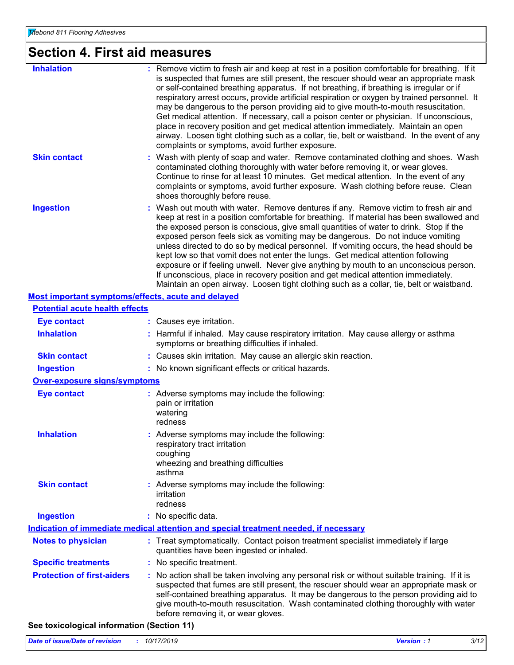# **Section 4. First aid measures**

| <b>Inhalation</b>   | : Remove victim to fresh air and keep at rest in a position comfortable for breathing. If it<br>is suspected that fumes are still present, the rescuer should wear an appropriate mask<br>or self-contained breathing apparatus. If not breathing, if breathing is irregular or if<br>respiratory arrest occurs, provide artificial respiration or oxygen by trained personnel. It<br>may be dangerous to the person providing aid to give mouth-to-mouth resuscitation.<br>Get medical attention. If necessary, call a poison center or physician. If unconscious,<br>place in recovery position and get medical attention immediately. Maintain an open<br>airway. Loosen tight clothing such as a collar, tie, belt or waistband. In the event of any<br>complaints or symptoms, avoid further exposure.       |
|---------------------|-------------------------------------------------------------------------------------------------------------------------------------------------------------------------------------------------------------------------------------------------------------------------------------------------------------------------------------------------------------------------------------------------------------------------------------------------------------------------------------------------------------------------------------------------------------------------------------------------------------------------------------------------------------------------------------------------------------------------------------------------------------------------------------------------------------------|
| <b>Skin contact</b> | : Wash with plenty of soap and water. Remove contaminated clothing and shoes. Wash<br>contaminated clothing thoroughly with water before removing it, or wear gloves.<br>Continue to rinse for at least 10 minutes. Get medical attention. In the event of any<br>complaints or symptoms, avoid further exposure. Wash clothing before reuse. Clean<br>shoes thoroughly before reuse.                                                                                                                                                                                                                                                                                                                                                                                                                             |
| <b>Ingestion</b>    | : Wash out mouth with water. Remove dentures if any. Remove victim to fresh air and<br>keep at rest in a position comfortable for breathing. If material has been swallowed and<br>the exposed person is conscious, give small quantities of water to drink. Stop if the<br>exposed person feels sick as vomiting may be dangerous. Do not induce vomiting<br>unless directed to do so by medical personnel. If vomiting occurs, the head should be<br>kept low so that vomit does not enter the lungs. Get medical attention following<br>exposure or if feeling unwell. Never give anything by mouth to an unconscious person.<br>If unconscious, place in recovery position and get medical attention immediately.<br>Maintain an open airway. Loosen tight clothing such as a collar, tie, belt or waistband. |

| <b>Most important symptoms/effects, acute and delayed</b> |    |                                                                                                                                                                                                                                                                                                                                                                                                               |  |  |  |
|-----------------------------------------------------------|----|---------------------------------------------------------------------------------------------------------------------------------------------------------------------------------------------------------------------------------------------------------------------------------------------------------------------------------------------------------------------------------------------------------------|--|--|--|
| <b>Potential acute health effects</b>                     |    |                                                                                                                                                                                                                                                                                                                                                                                                               |  |  |  |
| <b>Eye contact</b>                                        |    | : Causes eye irritation.                                                                                                                                                                                                                                                                                                                                                                                      |  |  |  |
| <b>Inhalation</b>                                         |    | Harmful if inhaled. May cause respiratory irritation. May cause allergy or asthma<br>symptoms or breathing difficulties if inhaled.                                                                                                                                                                                                                                                                           |  |  |  |
| <b>Skin contact</b>                                       |    | : Causes skin irritation. May cause an allergic skin reaction.                                                                                                                                                                                                                                                                                                                                                |  |  |  |
| <b>Ingestion</b>                                          |    | : No known significant effects or critical hazards.                                                                                                                                                                                                                                                                                                                                                           |  |  |  |
| <b>Over-exposure signs/symptoms</b>                       |    |                                                                                                                                                                                                                                                                                                                                                                                                               |  |  |  |
| <b>Eye contact</b>                                        |    | : Adverse symptoms may include the following:<br>pain or irritation<br>watering<br>redness                                                                                                                                                                                                                                                                                                                    |  |  |  |
| <b>Inhalation</b>                                         |    | Adverse symptoms may include the following:<br>respiratory tract irritation<br>coughing<br>wheezing and breathing difficulties<br>asthma                                                                                                                                                                                                                                                                      |  |  |  |
| <b>Skin contact</b>                                       |    | : Adverse symptoms may include the following:<br>irritation<br>redness                                                                                                                                                                                                                                                                                                                                        |  |  |  |
| <b>Ingestion</b>                                          |    | : No specific data.                                                                                                                                                                                                                                                                                                                                                                                           |  |  |  |
|                                                           |    | Indication of immediate medical attention and special treatment needed, if necessary                                                                                                                                                                                                                                                                                                                          |  |  |  |
| <b>Notes to physician</b>                                 |    | Treat symptomatically. Contact poison treatment specialist immediately if large<br>quantities have been ingested or inhaled.                                                                                                                                                                                                                                                                                  |  |  |  |
| <b>Specific treatments</b>                                | ÷. | No specific treatment.                                                                                                                                                                                                                                                                                                                                                                                        |  |  |  |
| <b>Protection of first-aiders</b>                         |    | No action shall be taken involving any personal risk or without suitable training. If it is<br>suspected that fumes are still present, the rescuer should wear an appropriate mask or<br>self-contained breathing apparatus. It may be dangerous to the person providing aid to<br>give mouth-to-mouth resuscitation. Wash contaminated clothing thoroughly with water<br>before removing it, or wear gloves. |  |  |  |

#### **See toxicological information (Section 11)**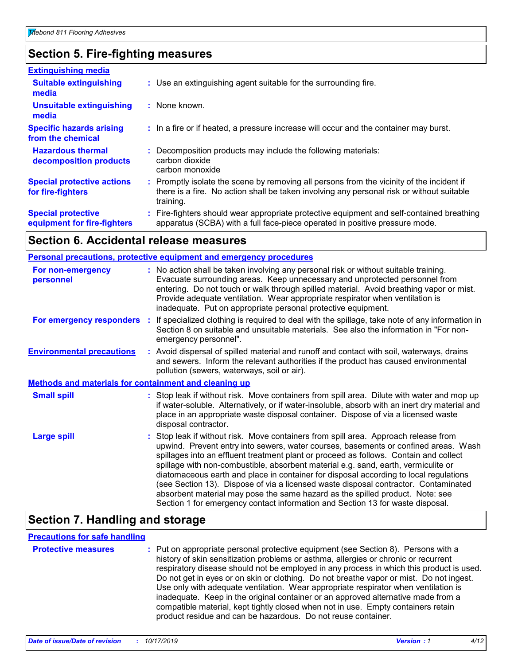### **Section 5. Fire-fighting measures**

| <b>Extinguishing media</b>                               |                                                                                                                                                                                                     |
|----------------------------------------------------------|-----------------------------------------------------------------------------------------------------------------------------------------------------------------------------------------------------|
| <b>Suitable extinguishing</b><br>media                   | : Use an extinguishing agent suitable for the surrounding fire.                                                                                                                                     |
| <b>Unsuitable extinguishing</b><br>media                 | $:$ None known.                                                                                                                                                                                     |
| <b>Specific hazards arising</b><br>from the chemical     | : In a fire or if heated, a pressure increase will occur and the container may burst.                                                                                                               |
| <b>Hazardous thermal</b><br>decomposition products       | : Decomposition products may include the following materials:<br>carbon dioxide<br>carbon monoxide                                                                                                  |
| <b>Special protective actions</b><br>for fire-fighters   | : Promptly isolate the scene by removing all persons from the vicinity of the incident if<br>there is a fire. No action shall be taken involving any personal risk or without suitable<br>training. |
| <b>Special protective</b><br>equipment for fire-fighters | Fire-fighters should wear appropriate protective equipment and self-contained breathing<br>apparatus (SCBA) with a full face-piece operated in positive pressure mode.                              |

#### **Section 6. Accidental release measures**

#### **Environmental precautions Personal precautions, protective equipment and emergency procedures** Stop leak if without risk. Move containers from spill area. Approach release from upwind. Prevent entry into sewers, water courses, basements or confined areas. Wash spillages into an effluent treatment plant or proceed as follows. Contain and collect spillage with non-combustible, absorbent material e.g. sand, earth, vermiculite or diatomaceous earth and place in container for disposal according to local regulations (see Section 13). Dispose of via a licensed waste disposal contractor. Contaminated absorbent material may pose the same hazard as the spilled product. Note: see Section 1 for emergency contact information and Section 13 for waste disposal. **:** Avoid dispersal of spilled material and runoff and contact with soil, waterways, drains **:** No action shall be taken involving any personal risk or without suitable training. Evacuate surrounding areas. Keep unnecessary and unprotected personnel from entering. Do not touch or walk through spilled material. Avoid breathing vapor or mist. Provide adequate ventilation. Wear appropriate respirator when ventilation is inadequate. Put on appropriate personal protective equipment. and sewers. Inform the relevant authorities if the product has caused environmental pollution (sewers, waterways, soil or air). **Large spill :** Stop leak if without risk. Move containers from spill area. Dilute with water and mop up if water-soluble. Alternatively, or if water-insoluble, absorb with an inert dry material and place in an appropriate waste disposal container. Dispose of via a licensed waste disposal contractor. **Small spill : Methods and materials for containment and cleaning up For non-emergency personnel For emergency responders :** If specialized clothing is required to deal with the spillage, take note of any information in Section 8 on suitable and unsuitable materials. See also the information in "For nonemergency personnel".

### **Section 7. Handling and storage**

#### **Precautions for safe handling**

| <b>Protective measures</b> | : Put on appropriate personal protective equipment (see Section 8). Persons with a<br>history of skin sensitization problems or asthma, allergies or chronic or recurrent<br>respiratory disease should not be employed in any process in which this product is used.<br>Do not get in eyes or on skin or clothing. Do not breathe vapor or mist. Do not ingest.<br>Use only with adequate ventilation. Wear appropriate respirator when ventilation is<br>inadequate. Keep in the original container or an approved alternative made from a<br>compatible material, kept tightly closed when not in use. Empty containers retain |
|----------------------------|-----------------------------------------------------------------------------------------------------------------------------------------------------------------------------------------------------------------------------------------------------------------------------------------------------------------------------------------------------------------------------------------------------------------------------------------------------------------------------------------------------------------------------------------------------------------------------------------------------------------------------------|
|                            | product residue and can be hazardous. Do not reuse container.                                                                                                                                                                                                                                                                                                                                                                                                                                                                                                                                                                     |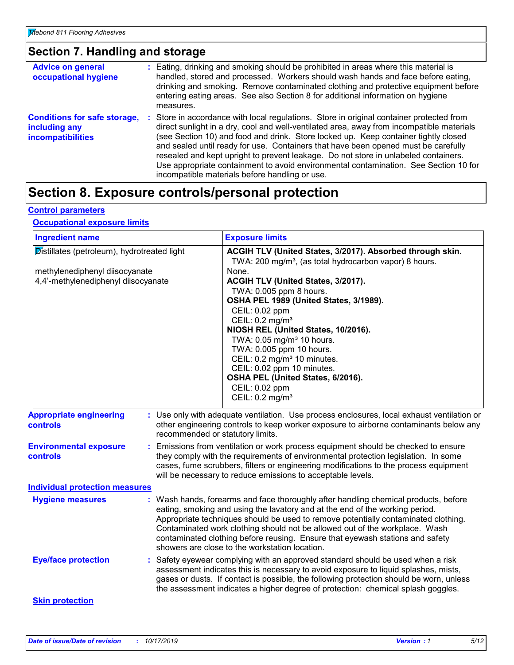### **Section 7. Handling and storage**

| <b>Advice on general</b><br>occupational hygiene                                 | : Eating, drinking and smoking should be prohibited in areas where this material is<br>handled, stored and processed. Workers should wash hands and face before eating,<br>drinking and smoking. Remove contaminated clothing and protective equipment before<br>entering eating areas. See also Section 8 for additional information on hygiene<br>measures.                                                                                                                                                                                                                                       |
|----------------------------------------------------------------------------------|-----------------------------------------------------------------------------------------------------------------------------------------------------------------------------------------------------------------------------------------------------------------------------------------------------------------------------------------------------------------------------------------------------------------------------------------------------------------------------------------------------------------------------------------------------------------------------------------------------|
| <b>Conditions for safe storage,</b><br>including any<br><b>incompatibilities</b> | : Store in accordance with local regulations. Store in original container protected from<br>direct sunlight in a dry, cool and well-ventilated area, away from incompatible materials<br>(see Section 10) and food and drink. Store locked up. Keep container tightly closed<br>and sealed until ready for use. Containers that have been opened must be carefully<br>resealed and kept upright to prevent leakage. Do not store in unlabeled containers.<br>Use appropriate containment to avoid environmental contamination. See Section 10 for<br>incompatible materials before handling or use. |

### **Section 8. Exposure controls/personal protection**

#### **Control parameters**

#### **Occupational exposure limits**

| <b>Ingredient name</b>                                                                                               |                                  | <b>Exposure limits</b>                                                                                                                                                                                                                                                                                                                                                                                                                                                                                                                                                          |
|----------------------------------------------------------------------------------------------------------------------|----------------------------------|---------------------------------------------------------------------------------------------------------------------------------------------------------------------------------------------------------------------------------------------------------------------------------------------------------------------------------------------------------------------------------------------------------------------------------------------------------------------------------------------------------------------------------------------------------------------------------|
| Distillates (petroleum), hydrotreated light<br>methylenediphenyl diisocyanate<br>4,4'-methylenediphenyl diisocyanate |                                  | ACGIH TLV (United States, 3/2017). Absorbed through skin.<br>TWA: 200 mg/m <sup>3</sup> , (as total hydrocarbon vapor) 8 hours.<br>None.<br>ACGIH TLV (United States, 3/2017).<br>TWA: 0.005 ppm 8 hours.<br>OSHA PEL 1989 (United States, 3/1989).<br>CEIL: 0.02 ppm<br>CEIL: 0.2 mg/m <sup>3</sup><br>NIOSH REL (United States, 10/2016).<br>TWA: 0.05 mg/m <sup>3</sup> 10 hours.<br>TWA: 0.005 ppm 10 hours.<br>CEIL: 0.2 mg/m <sup>3</sup> 10 minutes.<br>CEIL: 0.02 ppm 10 minutes.<br>OSHA PEL (United States, 6/2016).<br>CEIL: 0.02 ppm<br>CEIL: 0.2 mg/m <sup>3</sup> |
| <b>Appropriate engineering</b><br><b>controls</b>                                                                    | recommended or statutory limits. | : Use only with adequate ventilation. Use process enclosures, local exhaust ventilation or<br>other engineering controls to keep worker exposure to airborne contaminants below any                                                                                                                                                                                                                                                                                                                                                                                             |
| <b>Environmental exposure</b><br><b>controls</b>                                                                     | t.                               | Emissions from ventilation or work process equipment should be checked to ensure<br>they comply with the requirements of environmental protection legislation. In some<br>cases, fume scrubbers, filters or engineering modifications to the process equipment<br>will be necessary to reduce emissions to acceptable levels.                                                                                                                                                                                                                                                   |
| <b>Individual protection measures</b>                                                                                |                                  |                                                                                                                                                                                                                                                                                                                                                                                                                                                                                                                                                                                 |
| <b>Hygiene measures</b>                                                                                              |                                  | : Wash hands, forearms and face thoroughly after handling chemical products, before<br>eating, smoking and using the lavatory and at the end of the working period.<br>Appropriate techniques should be used to remove potentially contaminated clothing.<br>Contaminated work clothing should not be allowed out of the workplace. Wash<br>contaminated clothing before reusing. Ensure that eyewash stations and safety<br>showers are close to the workstation location.                                                                                                     |
| <b>Eye/face protection</b>                                                                                           |                                  | Safety eyewear complying with an approved standard should be used when a risk<br>assessment indicates this is necessary to avoid exposure to liquid splashes, mists,<br>gases or dusts. If contact is possible, the following protection should be worn, unless<br>the assessment indicates a higher degree of protection: chemical splash goggles.                                                                                                                                                                                                                             |
| <b>Skin protection</b>                                                                                               |                                  |                                                                                                                                                                                                                                                                                                                                                                                                                                                                                                                                                                                 |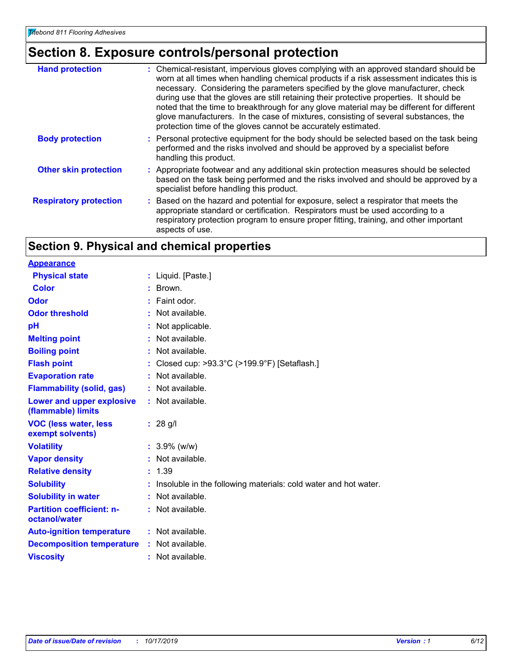### **Section 8. Exposure controls/personal protection**

| <b>Hand protection</b>        | : Chemical-resistant, impervious gloves complying with an approved standard should be<br>worn at all times when handling chemical products if a risk assessment indicates this is<br>necessary. Considering the parameters specified by the glove manufacturer, check<br>during use that the gloves are still retaining their protective properties. It should be<br>noted that the time to breakthrough for any glove material may be different for different<br>glove manufacturers. In the case of mixtures, consisting of several substances, the<br>protection time of the gloves cannot be accurately estimated. |
|-------------------------------|------------------------------------------------------------------------------------------------------------------------------------------------------------------------------------------------------------------------------------------------------------------------------------------------------------------------------------------------------------------------------------------------------------------------------------------------------------------------------------------------------------------------------------------------------------------------------------------------------------------------|
| <b>Body protection</b>        | : Personal protective equipment for the body should be selected based on the task being<br>performed and the risks involved and should be approved by a specialist before<br>handling this product.                                                                                                                                                                                                                                                                                                                                                                                                                    |
| <b>Other skin protection</b>  | : Appropriate footwear and any additional skin protection measures should be selected<br>based on the task being performed and the risks involved and should be approved by a<br>specialist before handling this product.                                                                                                                                                                                                                                                                                                                                                                                              |
| <b>Respiratory protection</b> | : Based on the hazard and potential for exposure, select a respirator that meets the<br>appropriate standard or certification. Respirators must be used according to a<br>respiratory protection program to ensure proper fitting, training, and other important<br>aspects of use.                                                                                                                                                                                                                                                                                                                                    |

### **Section 9. Physical and chemical properties**

| : Liquid. [Paste.]                                               |
|------------------------------------------------------------------|
| Brown.                                                           |
| Faint odor.                                                      |
| $\cdot$ Not available.                                           |
| : Not applicable.                                                |
| : Not available.                                                 |
| : Not available.                                                 |
| Closed cup: $>93.3^{\circ}$ C ( $>199.9^{\circ}$ F) [Setaflash.] |
| : Not available.                                                 |
| : Not available.                                                 |
| : Not available.                                                 |
| $: 28$ g/l                                                       |
| $: 3.9\%$ (w/w)                                                  |
| : Not available.                                                 |
| : 1.39                                                           |
| Insoluble in the following materials: cold water and hot water.  |
| : Not available.                                                 |
| : Not available.                                                 |
| $:$ Not available.                                               |
| : Not available.                                                 |
| : Not available.                                                 |
|                                                                  |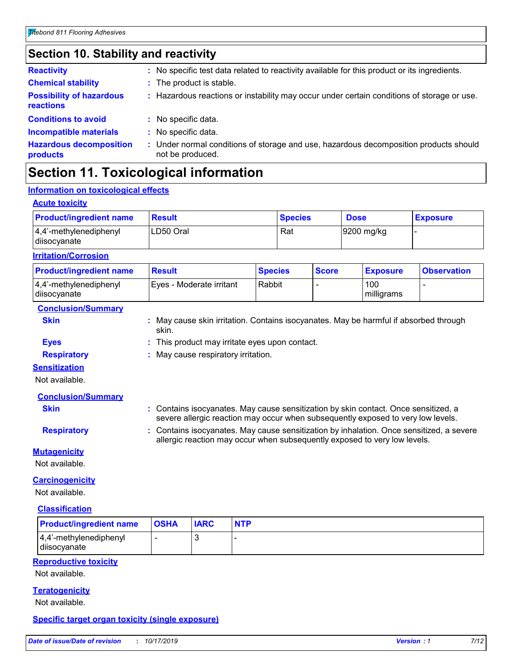### **Section 10. Stability and reactivity**

| <b>Reactivity</b>                            | : No specific test data related to reactivity available for this product or its ingredients.            |
|----------------------------------------------|---------------------------------------------------------------------------------------------------------|
| <b>Chemical stability</b>                    | : The product is stable.                                                                                |
| <b>Possibility of hazardous</b><br>reactions | : Hazardous reactions or instability may occur under certain conditions of storage or use.              |
| <b>Conditions to avoid</b>                   | : No specific data.                                                                                     |
| <b>Incompatible materials</b>                | No specific data.                                                                                       |
| <b>Hazardous decomposition</b><br>products   | Under normal conditions of storage and use, hazardous decomposition products should<br>not be produced. |

### **Section 11. Toxicological information**

#### **Information on toxicological effects**

#### **Acute toxicity**

| <b>Product/ingredient name</b>             | <b>Result</b> | <b>Species</b> | <b>Dose</b> | <b>Exposure</b> |
|--------------------------------------------|---------------|----------------|-------------|-----------------|
| $ 4,4'$ -methylenediphenyl<br>diisocyanate | LD50 Oral     | Rat            | 9200 mg/kg  |                 |

#### **Irritation/Corrosion**

| <b>Product/ingredient name</b>         | <b>Result</b>            | <b>Species</b> | <b>Score</b> | <b>Exposure</b>   | <b>Observation</b> |
|----------------------------------------|--------------------------|----------------|--------------|-------------------|--------------------|
| 4,4'-methylenediphenyl<br>diisocyanate | Eyes - Moderate irritant | Rabbit         |              | 100<br>milligrams |                    |

#### **Conclusion/Summary**

**Skin Example 20 Skin Skin is May cause skin irritation. Contains isocyanates. May be harmful if absorbed through** skin.

### **Eyes :** This product may irritate eyes upon contact.

**Respiratory :** May cause respiratory irritation.

#### **Sensitization**

Not available.

#### **Conclusion/Summary**

**Skin Example 20 Skin :** Contains isocyanates. May cause sensitization by skin contact. Once sensitized, a severe allergic reaction may occur when subsequently exposed to very low levels.

**Respiratory <b>:** Contains isocyanates. May cause sensitization by inhalation. Once sensitized, a severe allergic reaction may occur when subsequently exposed to very low levels.

#### **Mutagenicity**

Not available.

#### **Carcinogenicity**

Not available.

#### **Classification**

| <b>Product/ingredient name</b>             | <b>OSHA</b> | <b>IARC</b> | <b>NTP</b> |
|--------------------------------------------|-------------|-------------|------------|
| $ 4,4$ '-methylenediphenyl<br>diisocyanate |             |             |            |
|                                            |             |             |            |

#### **Reproductive toxicity**

Not available.

#### **Teratogenicity**

Not available.

#### **Specific target organ toxicity (single exposure)**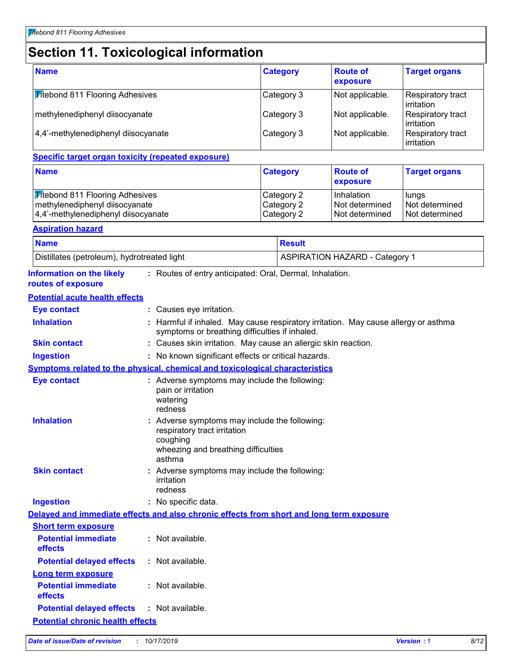# **Section 11. Toxicological information**

| <b>Name</b>                            | <b>Category</b> | <b>Route of</b><br>exposure | <b>Target organs</b>                    |
|----------------------------------------|-----------------|-----------------------------|-----------------------------------------|
| <b>Titebond 811 Flooring Adhesives</b> | Category 3      | Not applicable.             | Respiratory tract<br>l irritation       |
| methylenediphenyl diisocyanate         | Category 3      | Not applicable.             | Respiratory tract<br>l irritation       |
| 4,4'-methylenediphenyl diisocyanate    | Category 3      | Not applicable.             | Respiratory tract<br><b>lirritation</b> |

#### **Specific target organ toxicity (repeated exposure)**

| <b>Name</b>                         | <b>Category</b> | <b>Route of</b><br><b>exposure</b> | <b>Target organs</b> |
|-------------------------------------|-----------------|------------------------------------|----------------------|
| Mitebond 811 Flooring Adhesives     | Category 2      | Inhalation                         | <b>lungs</b>         |
| methylenediphenyl diisocyanate      | Category 2      | I Not determined                   | Not determined       |
| 4,4'-methylenediphenyl diisocyanate | Category 2      | Not determined                     | Not determined       |

#### **Aspiration hazard**

| <b>Name</b>                                 | Result                                |
|---------------------------------------------|---------------------------------------|
| Distillates (petroleum), hydrotreated light | <b>ASPIRATION HAZARD - Category 1</b> |

| <b>Information on the likely</b><br>routes of exposure | : Routes of entry anticipated: Oral, Dermal, Inhalation.                                                                                   |
|--------------------------------------------------------|--------------------------------------------------------------------------------------------------------------------------------------------|
| <b>Potential acute health effects</b>                  |                                                                                                                                            |
| <b>Eye contact</b>                                     | : Causes eye irritation.                                                                                                                   |
| <b>Inhalation</b>                                      | Harmful if inhaled. May cause respiratory irritation. May cause allergy or asthma<br>symptoms or breathing difficulties if inhaled.        |
| <b>Skin contact</b>                                    | : Causes skin irritation. May cause an allergic skin reaction.                                                                             |
| <b>Ingestion</b>                                       | : No known significant effects or critical hazards.                                                                                        |
|                                                        | Symptoms related to the physical, chemical and toxicological characteristics                                                               |
| <b>Eye contact</b>                                     | : Adverse symptoms may include the following:<br>pain or irritation<br>watering<br>redness                                                 |
| <b>Inhalation</b>                                      | : Adverse symptoms may include the following:<br>respiratory tract irritation<br>coughing<br>wheezing and breathing difficulties<br>asthma |
| <b>Skin contact</b>                                    | : Adverse symptoms may include the following:<br>irritation<br>redness                                                                     |
| <b>Ingestion</b>                                       | : No specific data.                                                                                                                        |
|                                                        | Delayed and immediate effects and also chronic effects from short and long term exposure                                                   |
| <b>Short term exposure</b>                             |                                                                                                                                            |
| <b>Potential immediate</b><br>effects                  | : Not available.                                                                                                                           |
| <b>Potential delayed effects</b>                       | : Not available.                                                                                                                           |
| <b>Long term exposure</b>                              |                                                                                                                                            |
| <b>Potential immediate</b><br>effects                  | : Not available.                                                                                                                           |
| <b>Potential delayed effects : Not available.</b>      |                                                                                                                                            |
|                                                        |                                                                                                                                            |

**Potential chronic health effects**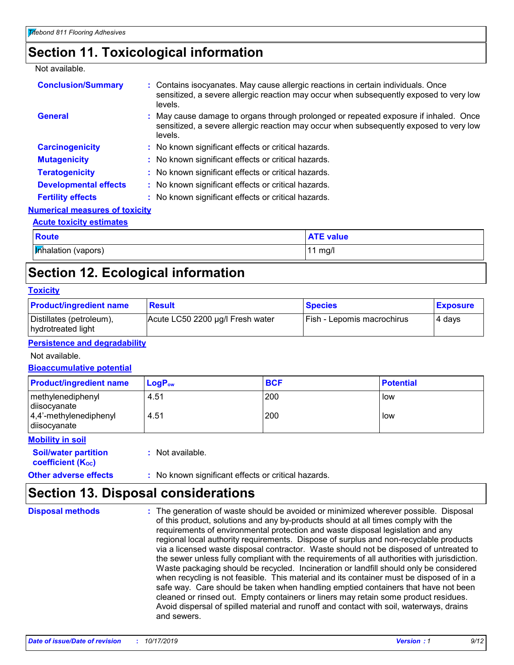### **Section 11. Toxicological information**

Not available.

| <b>Conclusion/Summary</b>             | : Contains isocyanates. May cause allergic reactions in certain individuals. Once<br>sensitized, a severe allergic reaction may occur when subsequently exposed to very low<br>levels.    |
|---------------------------------------|-------------------------------------------------------------------------------------------------------------------------------------------------------------------------------------------|
| General                               | : May cause damage to organs through prolonged or repeated exposure if inhaled. Once<br>sensitized, a severe allergic reaction may occur when subsequently exposed to very low<br>levels. |
| <b>Carcinogenicity</b>                | : No known significant effects or critical hazards.                                                                                                                                       |
| <b>Mutagenicity</b>                   | : No known significant effects or critical hazards.                                                                                                                                       |
| <b>Teratogenicity</b>                 | : No known significant effects or critical hazards.                                                                                                                                       |
| <b>Developmental effects</b>          | : No known significant effects or critical hazards.                                                                                                                                       |
| <b>Fertility effects</b>              | : No known significant effects or critical hazards.                                                                                                                                       |
| <b>Numerical measures of toxicity</b> |                                                                                                                                                                                           |
| <b>Acute toxicity estimates</b>       |                                                                                                                                                                                           |

## **Inhalation (vapors)** 11 mg/l **Route ATE value ATE value**

### **Section 12. Ecological information**

#### **Toxicity**

| <b>Product/ingredient name</b>                 | <b>Result</b>                    | <b>Species</b>             | <b>Exposure</b> |
|------------------------------------------------|----------------------------------|----------------------------|-----------------|
| Distillates (petroleum),<br>hydrotreated light | Acute LC50 2200 µg/l Fresh water | Fish - Lepomis macrochirus | 4 davs          |

#### **Persistence and degradability**

Not available.

#### **Bioaccumulative potential**

| <b>Product/ingredient name</b>                                                  | $\mathsf{LogP}_\mathsf{ow}$ | <b>BCF</b> | <b>Potential</b> |
|---------------------------------------------------------------------------------|-----------------------------|------------|------------------|
| methylenediphenyl<br>diisocyanate<br>$ 4,4'$ -methylenediphenyl<br>diisocyanate | 4.51<br>4.51                | 200<br>200 | low<br>low       |
| -----------                                                                     |                             |            |                  |

**Mobility in soil**

**Soil/water partition coefficient (Koc)** 

**:** Not available.

### **Other adverse effects** : No known significant effects or critical hazards.

### **Section 13. Disposal considerations**

The generation of waste should be avoided or minimized wherever possible. Disposal of this product, solutions and any by-products should at all times comply with the requirements of environmental protection and waste disposal legislation and any regional local authority requirements. Dispose of surplus and non-recyclable products via a licensed waste disposal contractor. Waste should not be disposed of untreated to the sewer unless fully compliant with the requirements of all authorities with jurisdiction. Waste packaging should be recycled. Incineration or landfill should only be considered when recycling is not feasible. This material and its container must be disposed of in a safe way. Care should be taken when handling emptied containers that have not been cleaned or rinsed out. Empty containers or liners may retain some product residues. Avoid dispersal of spilled material and runoff and contact with soil, waterways, drains and sewers. **Disposal methods :**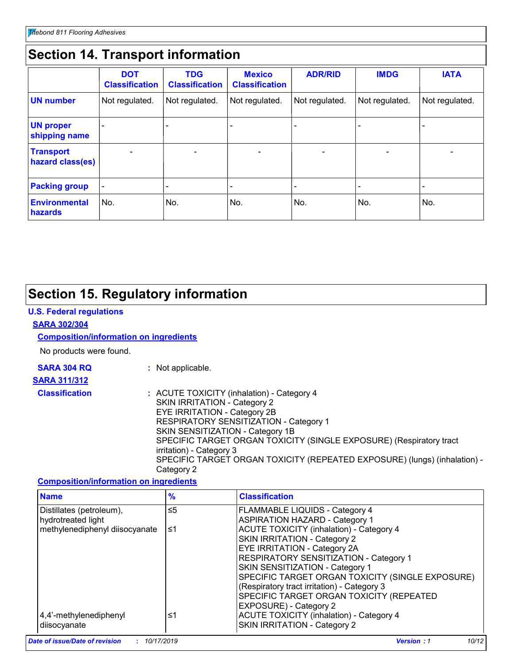### **Section 14. Transport information**

|                                      | <b>DOT</b><br><b>Classification</b> | <b>TDG</b><br><b>Classification</b> | <b>Mexico</b><br><b>Classification</b> | <b>ADR/RID</b> | <b>IMDG</b>    | <b>IATA</b>    |
|--------------------------------------|-------------------------------------|-------------------------------------|----------------------------------------|----------------|----------------|----------------|
| <b>UN number</b>                     | Not regulated.                      | Not regulated.                      | Not regulated.                         | Not regulated. | Not regulated. | Not regulated. |
| <b>UN proper</b><br>shipping name    |                                     |                                     |                                        |                |                |                |
| <b>Transport</b><br>hazard class(es) |                                     |                                     |                                        |                |                |                |
| <b>Packing group</b>                 | $\overline{\phantom{0}}$            |                                     |                                        |                |                |                |
| <b>Environmental</b><br>hazards      | No.                                 | No.                                 | No.                                    | No.            | No.            | No.            |

### **Section 15. Regulatory information**

#### **U.S. Federal regulations**

#### **SARA 302/304**

#### **Composition/information on ingredients**

No products were found.

# **SARA 311/312**

**SARA 304 RQ :** Not applicable.

#### **Classification :** ACUTE TOXICITY (inhalation) - Category 4 SKIN IRRITATION - Category 2 EYE IRRITATION - Category 2B RESPIRATORY SENSITIZATION - Category 1 SKIN SENSITIZATION - Category 1B SPECIFIC TARGET ORGAN TOXICITY (SINGLE EXPOSURE) (Respiratory tract irritation) - Category 3 SPECIFIC TARGET ORGAN TOXICITY (REPEATED EXPOSURE) (lungs) (inhalation) - Category 2

#### **Composition/information on ingredients**

| <b>Name</b>                    | $\frac{9}{6}$ | <b>Classification</b>                                                                                                              |  |
|--------------------------------|---------------|------------------------------------------------------------------------------------------------------------------------------------|--|
| Distillates (petroleum),       | ≤5            | FLAMMABLE LIQUIDS - Category 4<br><b>ASPIRATION HAZARD - Category 1</b>                                                            |  |
| hydrotreated light             |               |                                                                                                                                    |  |
| methylenediphenyl diisocyanate | ≤1            | ACUTE TOXICITY (inhalation) - Category 4                                                                                           |  |
|                                |               | SKIN IRRITATION - Category 2                                                                                                       |  |
|                                |               | EYE IRRITATION - Category 2A                                                                                                       |  |
|                                |               | RESPIRATORY SENSITIZATION - Category 1                                                                                             |  |
|                                |               | SKIN SENSITIZATION - Category 1<br>SPECIFIC TARGET ORGAN TOXICITY (SINGLE EXPOSURE)<br>(Respiratory tract irritation) - Category 3 |  |
|                                |               |                                                                                                                                    |  |
|                                |               |                                                                                                                                    |  |
|                                |               | SPECIFIC TARGET ORGAN TOXICITY (REPEATED                                                                                           |  |
|                                |               | EXPOSURE) - Category 2                                                                                                             |  |
| 4,4'-methylenediphenyl         | ≤1            | <b>ACUTE TOXICITY (inhalation) - Category 4</b>                                                                                    |  |
| diisocyanate                   |               | <b>SKIN IRRITATION - Category 2</b>                                                                                                |  |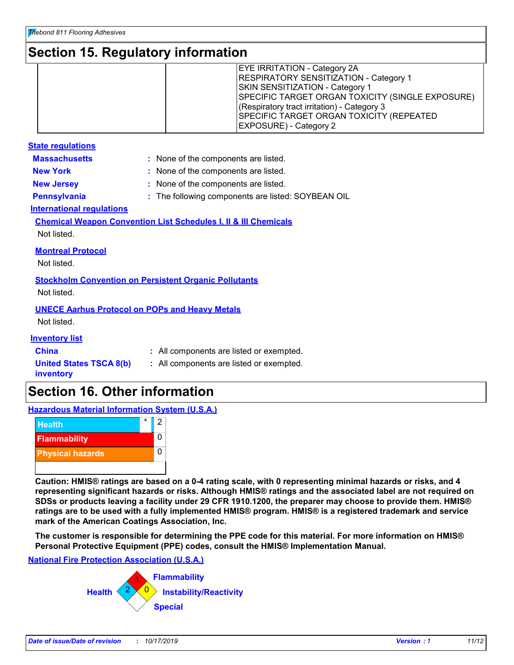### **Section 15. Regulatory information**

|  | <b>EYE IRRITATION - Category 2A</b><br><b>RESPIRATORY SENSITIZATION - Category 1</b><br><b>SKIN SENSITIZATION - Category 1</b><br>SPECIFIC TARGET ORGAN TOXICITY (SINGLE EXPOSURE)<br>(Respiratory tract irritation) - Category 3<br>SPECIFIC TARGET ORGAN TOXICITY (REPEATED<br><b>EXPOSURE)</b> - Category 2 |
|--|----------------------------------------------------------------------------------------------------------------------------------------------------------------------------------------------------------------------------------------------------------------------------------------------------------------|
|--|----------------------------------------------------------------------------------------------------------------------------------------------------------------------------------------------------------------------------------------------------------------------------------------------------------------|

| <b>State regulations</b>                                                    |                                                  |  |  |  |
|-----------------------------------------------------------------------------|--------------------------------------------------|--|--|--|
| <b>Massachusetts</b>                                                        | : None of the components are listed.             |  |  |  |
| <b>New York</b>                                                             | : None of the components are listed.             |  |  |  |
| <b>New Jersey</b>                                                           | None of the components are listed.               |  |  |  |
| <b>Pennsylvania</b>                                                         | The following components are listed: SOYBEAN OIL |  |  |  |
| <b>International regulations</b>                                            |                                                  |  |  |  |
| <b>Chemical Weapon Convention List Schedules I, II &amp; III Chemicals</b>  |                                                  |  |  |  |
| Not listed.                                                                 |                                                  |  |  |  |
| <b>Montreal Protocol</b>                                                    |                                                  |  |  |  |
| Not listed.                                                                 |                                                  |  |  |  |
|                                                                             |                                                  |  |  |  |
| <b>Stockholm Convention on Persistent Organic Pollutants</b><br>Not listed. |                                                  |  |  |  |
|                                                                             |                                                  |  |  |  |
| <b>UNECE Aarhus Protocol on POPs and Heavy Metals</b>                       |                                                  |  |  |  |
| Not listed.                                                                 |                                                  |  |  |  |
| <b>Inventory list</b>                                                       |                                                  |  |  |  |
| China                                                                       | : All components are listed or exempted.         |  |  |  |
| <b>United States TSCA 8(b)</b><br>inventory                                 | : All components are listed or exempted.         |  |  |  |

### **Section 16. Other information**

**Hazardous Material Information System (U.S.A.)**



**Caution: HMIS® ratings are based on a 0-4 rating scale, with 0 representing minimal hazards or risks, and 4 representing significant hazards or risks. Although HMIS® ratings and the associated label are not required on SDSs or products leaving a facility under 29 CFR 1910.1200, the preparer may choose to provide them. HMIS® ratings are to be used with a fully implemented HMIS® program. HMIS® is a registered trademark and service mark of the American Coatings Association, Inc.**

**The customer is responsible for determining the PPE code for this material. For more information on HMIS® Personal Protective Equipment (PPE) codes, consult the HMIS® Implementation Manual.**

#### **National Fire Protection Association (U.S.A.)**